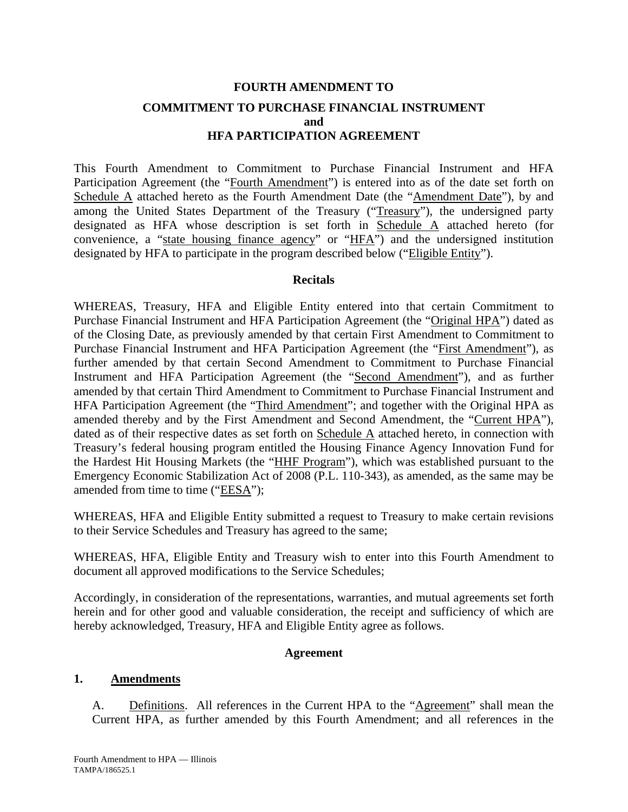# **FOURTH AMENDMENT TO COMMITMENT TO PURCHASE FINANCIAL INSTRUMENT and HFA PARTICIPATION AGREEMENT**

This Fourth Amendment to Commitment to Purchase Financial Instrument and HFA Participation Agreement (the "Fourth Amendment") is entered into as of the date set forth on Schedule A attached hereto as the Fourth Amendment Date (the "Amendment Date"), by and among the United States Department of the Treasury ("Treasury"), the undersigned party designated as HFA whose description is set forth in Schedule A attached hereto (for convenience, a "state housing finance agency" or "HFA") and the undersigned institution designated by HFA to participate in the program described below ("Eligible Entity").

#### **Recitals**

WHEREAS, Treasury, HFA and Eligible Entity entered into that certain Commitment to Purchase Financial Instrument and HFA Participation Agreement (the "Original HPA") dated as of the Closing Date, as previously amended by that certain First Amendment to Commitment to Purchase Financial Instrument and HFA Participation Agreement (the "First Amendment"), as further amended by that certain Second Amendment to Commitment to Purchase Financial Instrument and HFA Participation Agreement (the "Second Amendment"), and as further amended by that certain Third Amendment to Commitment to Purchase Financial Instrument and HFA Participation Agreement (the "Third Amendment"; and together with the Original HPA as amended thereby and by the First Amendment and Second Amendment, the "Current HPA"), dated as of their respective dates as set forth on Schedule A attached hereto, in connection with Treasury's federal housing program entitled the Housing Finance Agency Innovation Fund for the Hardest Hit Housing Markets (the "HHF Program"), which was established pursuant to the Emergency Economic Stabilization Act of 2008 (P.L. 110-343), as amended, as the same may be amended from time to time ("EESA");

WHEREAS, HFA and Eligible Entity submitted a request to Treasury to make certain revisions to their Service Schedules and Treasury has agreed to the same;

WHEREAS, HFA, Eligible Entity and Treasury wish to enter into this Fourth Amendment to document all approved modifications to the Service Schedules;

Accordingly, in consideration of the representations, warranties, and mutual agreements set forth herein and for other good and valuable consideration, the receipt and sufficiency of which are hereby acknowledged, Treasury, HFA and Eligible Entity agree as follows.

#### **Agreement**

#### **1. Amendments**

A. Definitions. All references in the Current HPA to the "Agreement" shall mean the Current HPA, as further amended by this Fourth Amendment; and all references in the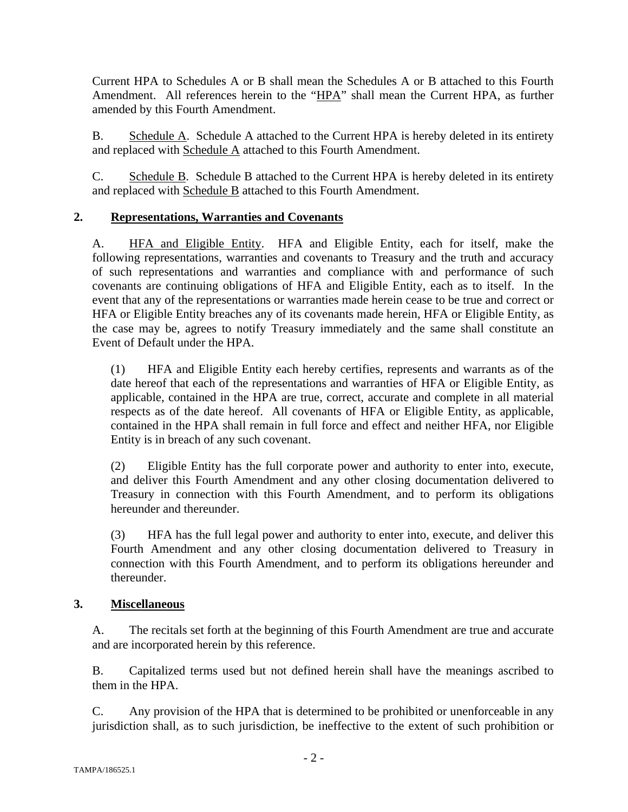Current HPA to Schedules A or B shall mean the Schedules A or B attached to this Fourth Amendment. All references herein to the "HPA" shall mean the Current HPA, as further amended by this Fourth Amendment.

B. Schedule A. Schedule A attached to the Current HPA is hereby deleted in its entirety and replaced with Schedule A attached to this Fourth Amendment.

C. Schedule B. Schedule B attached to the Current HPA is hereby deleted in its entirety and replaced with Schedule B attached to this Fourth Amendment.

# **2. Representations, Warranties and Covenants**

A. HFA and Eligible Entity. HFA and Eligible Entity, each for itself, make the following representations, warranties and covenants to Treasury and the truth and accuracy of such representations and warranties and compliance with and performance of such covenants are continuing obligations of HFA and Eligible Entity, each as to itself. In the event that any of the representations or warranties made herein cease to be true and correct or HFA or Eligible Entity breaches any of its covenants made herein, HFA or Eligible Entity, as the case may be, agrees to notify Treasury immediately and the same shall constitute an Event of Default under the HPA.

(1) HFA and Eligible Entity each hereby certifies, represents and warrants as of the date hereof that each of the representations and warranties of HFA or Eligible Entity, as applicable, contained in the HPA are true, correct, accurate and complete in all material respects as of the date hereof. All covenants of HFA or Eligible Entity, as applicable, contained in the HPA shall remain in full force and effect and neither HFA, nor Eligible Entity is in breach of any such covenant.

(2) Eligible Entity has the full corporate power and authority to enter into, execute, and deliver this Fourth Amendment and any other closing documentation delivered to Treasury in connection with this Fourth Amendment, and to perform its obligations hereunder and thereunder.

(3) HFA has the full legal power and authority to enter into, execute, and deliver this Fourth Amendment and any other closing documentation delivered to Treasury in connection with this Fourth Amendment, and to perform its obligations hereunder and thereunder.

#### **3. Miscellaneous**

A. The recitals set forth at the beginning of this Fourth Amendment are true and accurate and are incorporated herein by this reference.

B. Capitalized terms used but not defined herein shall have the meanings ascribed to them in the HPA.

C. Any provision of the HPA that is determined to be prohibited or unenforceable in any jurisdiction shall, as to such jurisdiction, be ineffective to the extent of such prohibition or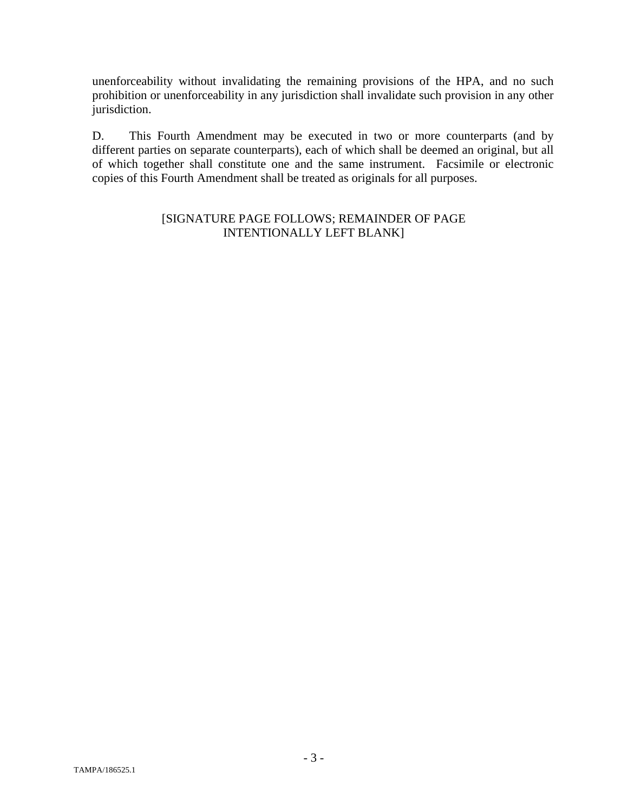unenforceability without invalidating the remaining provisions of the HPA, and no such prohibition or unenforceability in any jurisdiction shall invalidate such provision in any other jurisdiction.

D. This Fourth Amendment may be executed in two or more counterparts (and by different parties on separate counterparts), each of which shall be deemed an original, but all of which together shall constitute one and the same instrument. Facsimile or electronic copies of this Fourth Amendment shall be treated as originals for all purposes.

#### [SIGNATURE PAGE FOLLOWS; REMAINDER OF PAGE INTENTIONALLY LEFT BLANK]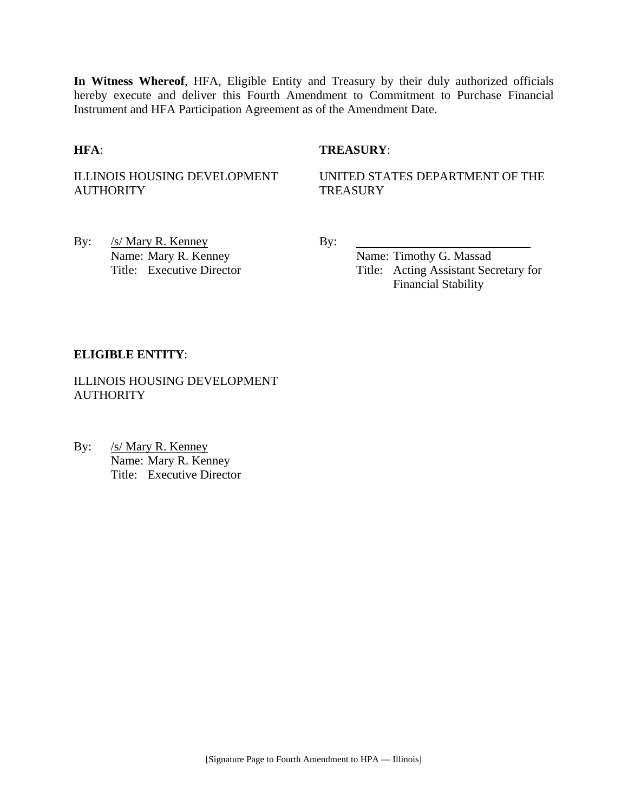**In Witness Whereof**, HFA, Eligible Entity and Treasury by their duly authorized officials hereby execute and deliver this Fourth Amendment to Commitment to Purchase Financial Instrument and HFA Participation Agreement as of the Amendment Date.

#### **HFA**: **TREASURY**:

ILLINOIS HOUSING DEVELOPMENT **AUTHORITY** 

UNITED STATES DEPARTMENT OF THE **TREASURY** 

By: /s/ Mary R. Kenney By: Name: Mary R. Kenney Name: Timothy G. Massad

Title: Executive Director Title: Acting Assistant Secretary for Financial Stability

#### **ELIGIBLE ENTITY**:

ILLINOIS HOUSING DEVELOPMENT **AUTHORITY** 

By: /s/ Mary R. Kenney Name: Mary R. Kenney Title: Executive Director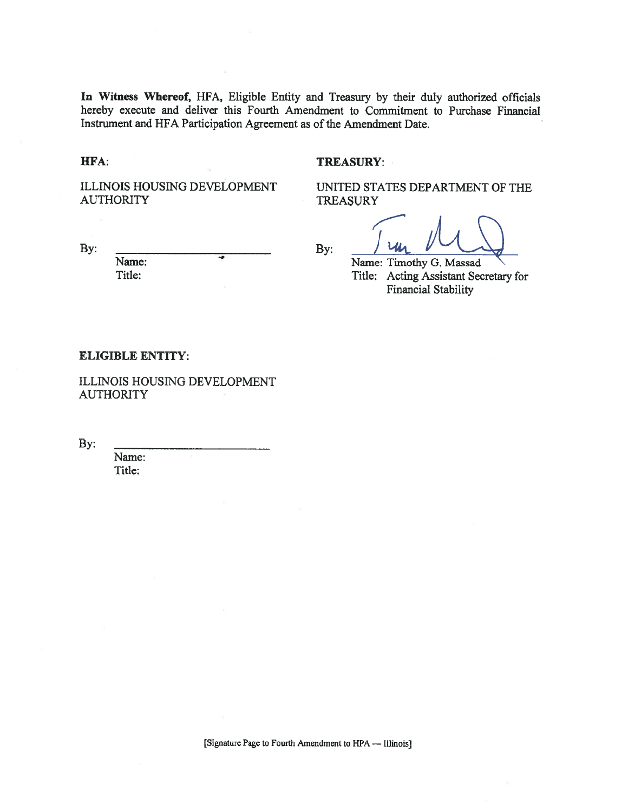In Witness Whereof, HFA, Eligible Entity and Treasury by their duly authorized officials hereby execute and deliver this Fourth Amendment to Commitment to Purchase Financial Instrument and HFA Participation Agreement as of the Amendment Date.

#### HFA:

By:

#### **TREASURY:**

ILLINOIS HOUSING DEVELOPMENT **AUTHORITY** 

UNITED STATES DEPARTMENT OF THE **TREASURY** 

By:

Name: Timothy G. Massad Title: Acting Assistant Secretary for **Financial Stability** 

#### **ELIGIBLE ENTITY:**

Name: Title:

ILLINOIS HOUSING DEVELOPMENT **AUTHORITY** 

By:

Name: Title: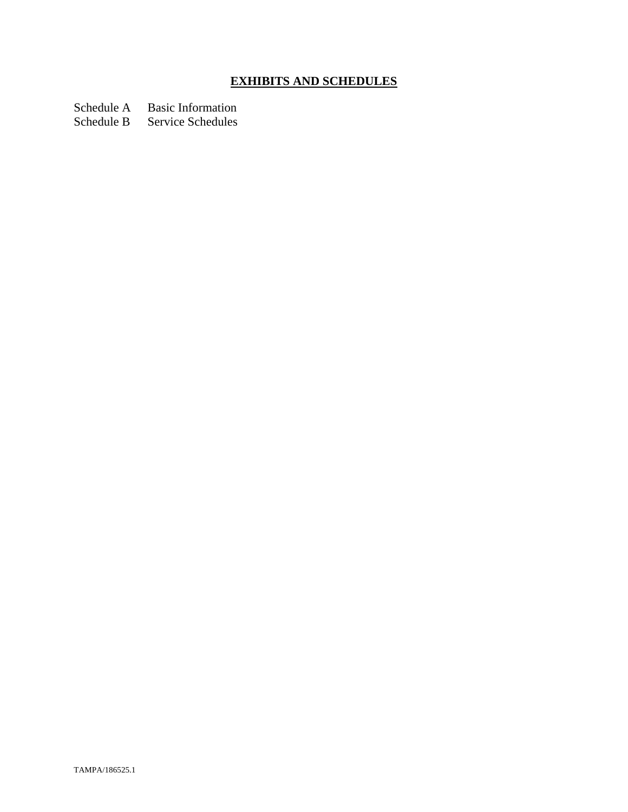# **EXHIBITS AND SCHEDULES**

Schedule A Basic Information<br>Schedule B Service Schedules

Service Schedules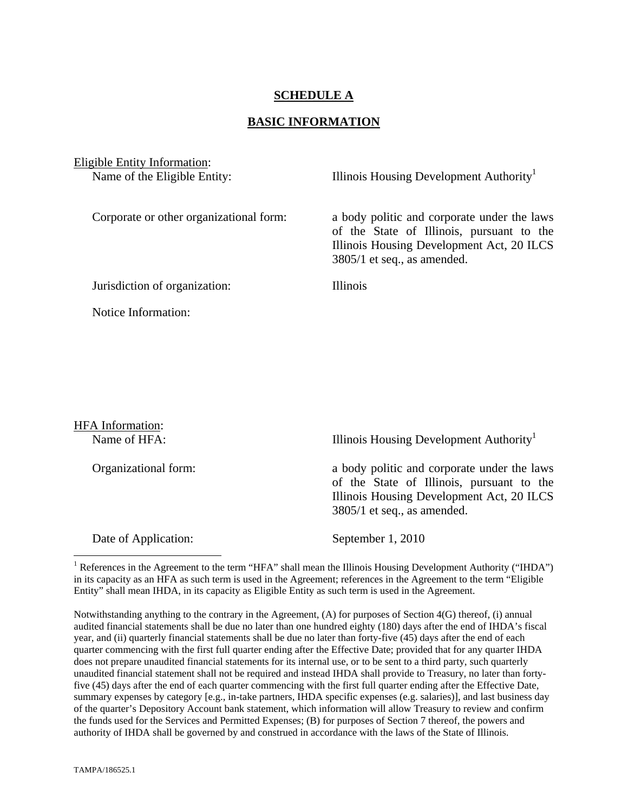#### **SCHEDULE A**

#### **BASIC INFORMATION**

Eligible Entity Information: Name of the Eligible Entity: Illinois Housing Development Authority<sup>1</sup>

Corporate or other organizational form: a body politic and corporate under the laws of the State of Illinois, pursuant to the Illinois Housing Development Act, 20 ILCS 3805/1 et seq., as amended.

Jurisdiction of organization: Illinois

Notice Information:

HFA Information: Name of HFA: Illinois Housing Development Authority<sup>1</sup> Organizational form: a body politic and corporate under the laws of the State of Illinois, pursuant to the Illinois Housing Development Act, 20 ILCS 3805/1 et seq., as amended. Date of Application: September 1, 2010  $\overline{a}$ 

<sup>1</sup> References in the Agreement to the term "HFA" shall mean the Illinois Housing Development Authority ("IHDA") in its capacity as an HFA as such term is used in the Agreement; references in the Agreement to the term "Eligible Entity" shall mean IHDA, in its capacity as Eligible Entity as such term is used in the Agreement.

Notwithstanding anything to the contrary in the Agreement, (A) for purposes of Section 4(G) thereof, (i) annual audited financial statements shall be due no later than one hundred eighty (180) days after the end of IHDA's fiscal year, and (ii) quarterly financial statements shall be due no later than forty-five (45) days after the end of each quarter commencing with the first full quarter ending after the Effective Date; provided that for any quarter IHDA does not prepare unaudited financial statements for its internal use, or to be sent to a third party, such quarterly unaudited financial statement shall not be required and instead IHDA shall provide to Treasury, no later than fortyfive (45) days after the end of each quarter commencing with the first full quarter ending after the Effective Date, summary expenses by category [e.g., in-take partners, IHDA specific expenses (e.g. salaries)], and last business day of the quarter's Depository Account bank statement, which information will allow Treasury to review and confirm the funds used for the Services and Permitted Expenses; (B) for purposes of Section 7 thereof, the powers and authority of IHDA shall be governed by and construed in accordance with the laws of the State of Illinois.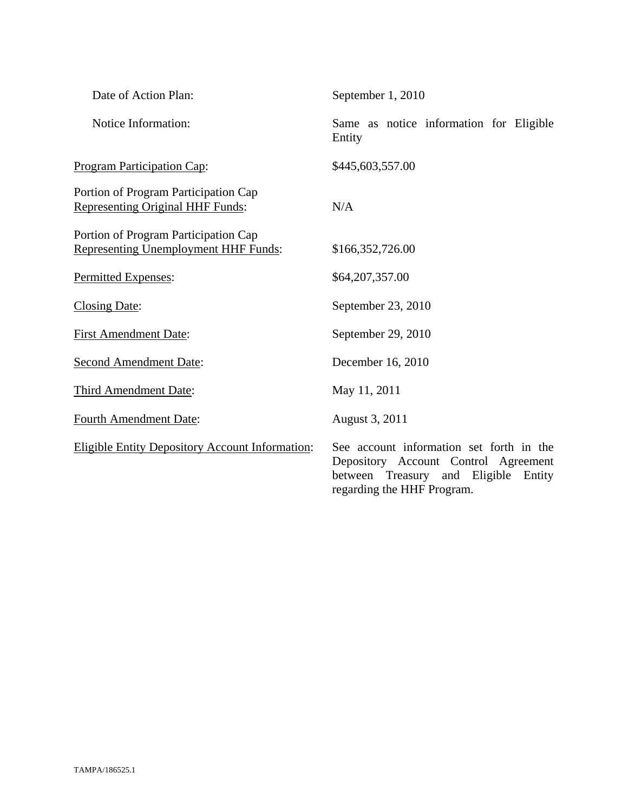| Date of Action Plan:                                                                | September 1, 2010                                                                                                                                      |
|-------------------------------------------------------------------------------------|--------------------------------------------------------------------------------------------------------------------------------------------------------|
| Notice Information:                                                                 | Same as notice information for Eligible<br>Entity                                                                                                      |
| <b>Program Participation Cap:</b>                                                   | \$445,603,557.00                                                                                                                                       |
| Portion of Program Participation Cap<br><b>Representing Original HHF Funds:</b>     | N/A                                                                                                                                                    |
| Portion of Program Participation Cap<br><b>Representing Unemployment HHF Funds:</b> | \$166,352,726.00                                                                                                                                       |
| Permitted Expenses:                                                                 | \$64,207,357.00                                                                                                                                        |
| <b>Closing Date:</b>                                                                | September 23, 2010                                                                                                                                     |
| <b>First Amendment Date:</b>                                                        | September 29, 2010                                                                                                                                     |
| <b>Second Amendment Date:</b>                                                       | December 16, 2010                                                                                                                                      |
| Third Amendment Date:                                                               | May 11, 2011                                                                                                                                           |
| <b>Fourth Amendment Date:</b>                                                       | August 3, 2011                                                                                                                                         |
| <b>Eligible Entity Depository Account Information:</b>                              | See account information set forth in the<br>Depository Account Control Agreement<br>between Treasury and Eligible Entity<br>regarding the HHF Program. |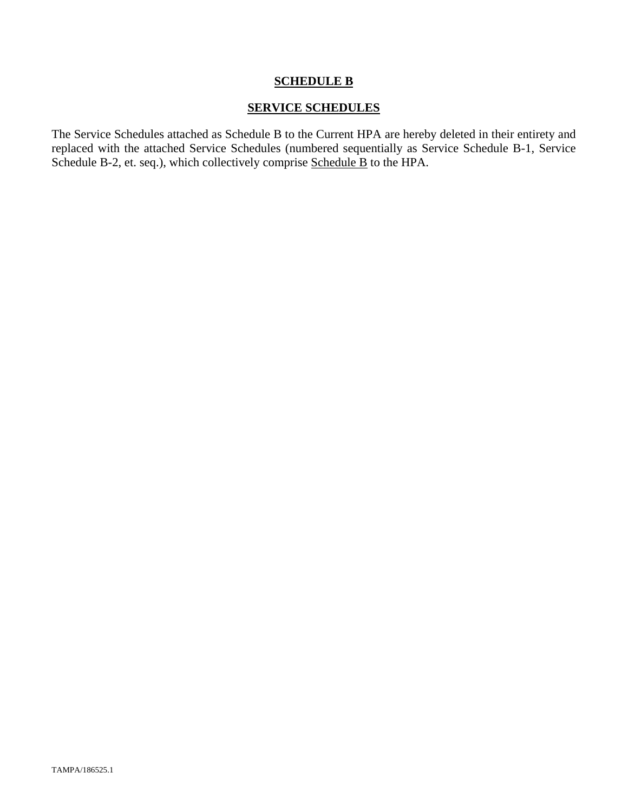#### **SCHEDULE B**

#### **SERVICE SCHEDULES**

The Service Schedules attached as Schedule B to the Current HPA are hereby deleted in their entirety and replaced with the attached Service Schedules (numbered sequentially as Service Schedule B-1, Service Schedule B-2, et. seq.), which collectively comprise Schedule B to the HPA.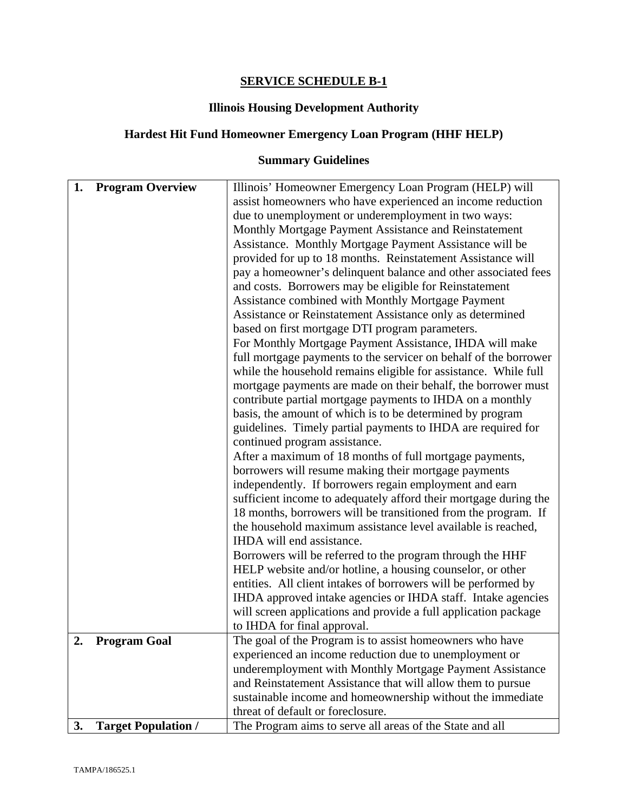## **SERVICE SCHEDULE B-1**

## **Illinois Housing Development Authority**

# **Hardest Hit Fund Homeowner Emergency Loan Program (HHF HELP)**

# **Summary Guidelines**

| 1. | <b>Program Overview</b>    | Illinois' Homeowner Emergency Loan Program (HELP) will<br>assist homeowners who have experienced an income reduction<br>due to unemployment or underemployment in two ways:<br>Monthly Mortgage Payment Assistance and Reinstatement<br>Assistance. Monthly Mortgage Payment Assistance will be<br>provided for up to 18 months. Reinstatement Assistance will<br>pay a homeowner's delinquent balance and other associated fees<br>and costs. Borrowers may be eligible for Reinstatement<br>Assistance combined with Monthly Mortgage Payment<br>Assistance or Reinstatement Assistance only as determined<br>based on first mortgage DTI program parameters.<br>For Monthly Mortgage Payment Assistance, IHDA will make<br>full mortgage payments to the servicer on behalf of the borrower<br>while the household remains eligible for assistance. While full<br>mortgage payments are made on their behalf, the borrower must<br>contribute partial mortgage payments to IHDA on a monthly<br>basis, the amount of which is to be determined by program<br>guidelines. Timely partial payments to IHDA are required for<br>continued program assistance.<br>After a maximum of 18 months of full mortgage payments,<br>borrowers will resume making their mortgage payments<br>independently. If borrowers regain employment and earn<br>sufficient income to adequately afford their mortgage during the<br>18 months, borrowers will be transitioned from the program. If<br>the household maximum assistance level available is reached,<br>IHDA will end assistance.<br>Borrowers will be referred to the program through the HHF<br>HELP website and/or hotline, a housing counselor, or other<br>entities. All client intakes of borrowers will be performed by |
|----|----------------------------|----------------------------------------------------------------------------------------------------------------------------------------------------------------------------------------------------------------------------------------------------------------------------------------------------------------------------------------------------------------------------------------------------------------------------------------------------------------------------------------------------------------------------------------------------------------------------------------------------------------------------------------------------------------------------------------------------------------------------------------------------------------------------------------------------------------------------------------------------------------------------------------------------------------------------------------------------------------------------------------------------------------------------------------------------------------------------------------------------------------------------------------------------------------------------------------------------------------------------------------------------------------------------------------------------------------------------------------------------------------------------------------------------------------------------------------------------------------------------------------------------------------------------------------------------------------------------------------------------------------------------------------------------------------------------------------------------------------------------------------------------------------------------|
|    |                            | IHDA approved intake agencies or IHDA staff. Intake agencies<br>will screen applications and provide a full application package                                                                                                                                                                                                                                                                                                                                                                                                                                                                                                                                                                                                                                                                                                                                                                                                                                                                                                                                                                                                                                                                                                                                                                                                                                                                                                                                                                                                                                                                                                                                                                                                                                            |
|    |                            | to IHDA for final approval.                                                                                                                                                                                                                                                                                                                                                                                                                                                                                                                                                                                                                                                                                                                                                                                                                                                                                                                                                                                                                                                                                                                                                                                                                                                                                                                                                                                                                                                                                                                                                                                                                                                                                                                                                |
| 2. | <b>Program Goal</b>        | The goal of the Program is to assist homeowners who have<br>experienced an income reduction due to unemployment or<br>underemployment with Monthly Mortgage Payment Assistance<br>and Reinstatement Assistance that will allow them to pursue                                                                                                                                                                                                                                                                                                                                                                                                                                                                                                                                                                                                                                                                                                                                                                                                                                                                                                                                                                                                                                                                                                                                                                                                                                                                                                                                                                                                                                                                                                                              |
|    |                            | sustainable income and homeownership without the immediate<br>threat of default or foreclosure.                                                                                                                                                                                                                                                                                                                                                                                                                                                                                                                                                                                                                                                                                                                                                                                                                                                                                                                                                                                                                                                                                                                                                                                                                                                                                                                                                                                                                                                                                                                                                                                                                                                                            |
| 3. | <b>Target Population /</b> | The Program aims to serve all areas of the State and all                                                                                                                                                                                                                                                                                                                                                                                                                                                                                                                                                                                                                                                                                                                                                                                                                                                                                                                                                                                                                                                                                                                                                                                                                                                                                                                                                                                                                                                                                                                                                                                                                                                                                                                   |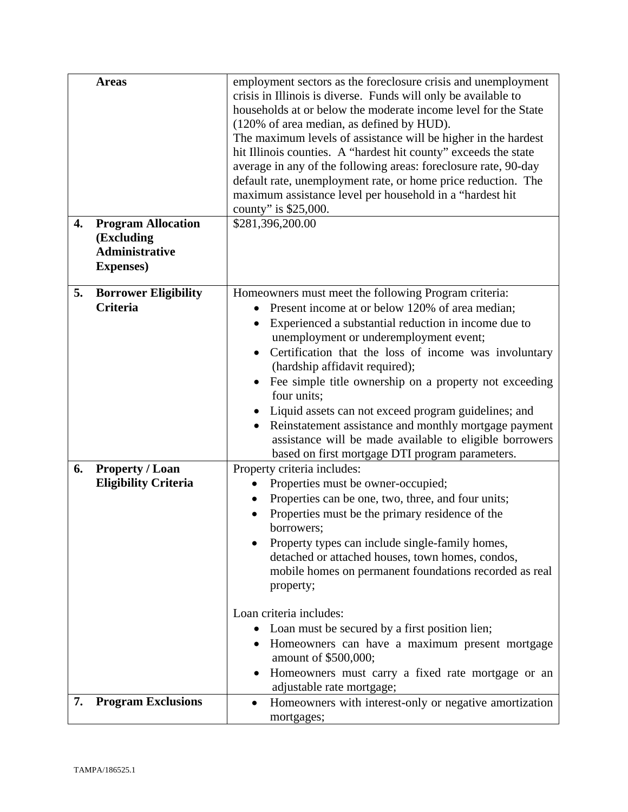|    | <b>Areas</b>                                                                          | employment sectors as the foreclosure crisis and unemployment<br>crisis in Illinois is diverse. Funds will only be available to<br>households at or below the moderate income level for the State<br>(120% of area median, as defined by HUD).<br>The maximum levels of assistance will be higher in the hardest<br>hit Illinois counties. A "hardest hit county" exceeds the state<br>average in any of the following areas: foreclosure rate, 90-day<br>default rate, unemployment rate, or home price reduction. The<br>maximum assistance level per household in a "hardest hit<br>county" is \$25,000.                              |
|----|---------------------------------------------------------------------------------------|------------------------------------------------------------------------------------------------------------------------------------------------------------------------------------------------------------------------------------------------------------------------------------------------------------------------------------------------------------------------------------------------------------------------------------------------------------------------------------------------------------------------------------------------------------------------------------------------------------------------------------------|
| 4. | <b>Program Allocation</b><br>(Excluding<br><b>Administrative</b><br><b>Expenses</b> ) | \$281,396,200.00                                                                                                                                                                                                                                                                                                                                                                                                                                                                                                                                                                                                                         |
| 5. | <b>Borrower Eligibility</b><br>Criteria                                               | Homeowners must meet the following Program criteria:<br>Present income at or below 120% of area median;<br>Experienced a substantial reduction in income due to<br>$\bullet$<br>unemployment or underemployment event;<br>Certification that the loss of income was involuntary<br>(hardship affidavit required);<br>Fee simple title ownership on a property not exceeding<br>four units;<br>• Liquid assets can not exceed program guidelines; and<br>Reinstatement assistance and monthly mortgage payment<br>$\bullet$<br>assistance will be made available to eligible borrowers<br>based on first mortgage DTI program parameters. |
| 6. | <b>Property / Loan</b><br><b>Eligibility Criteria</b>                                 | Property criteria includes:<br>Properties must be owner-occupied;<br>Properties can be one, two, three, and four units;<br>Properties must be the primary residence of the<br>$\bullet$<br>borrowers;<br>Property types can include single-family homes,<br>detached or attached houses, town homes, condos,<br>mobile homes on permanent foundations recorded as real<br>property;<br>Loan criteria includes:<br>Loan must be secured by a first position lien;<br>Homeowners can have a maximum present mortgage<br>$\bullet$<br>amount of \$500,000;<br>Homeowners must carry a fixed rate mortgage or an                             |
| 7. | <b>Program Exclusions</b>                                                             | adjustable rate mortgage;<br>Homeowners with interest-only or negative amortization<br>$\bullet$<br>mortgages;                                                                                                                                                                                                                                                                                                                                                                                                                                                                                                                           |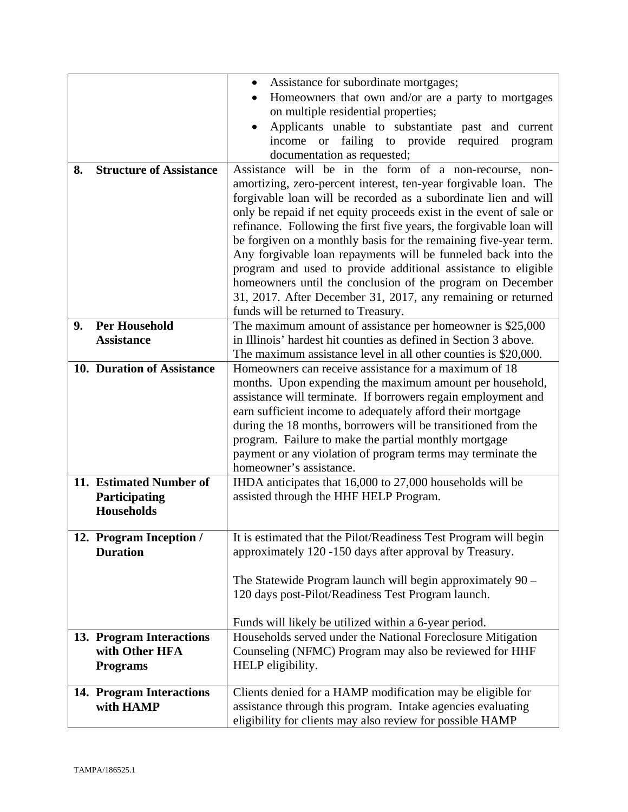|                                            | Assistance for subordinate mortgages;<br>$\bullet$                                                                          |
|--------------------------------------------|-----------------------------------------------------------------------------------------------------------------------------|
|                                            | Homeowners that own and/or are a party to mortgages                                                                         |
|                                            | on multiple residential properties;                                                                                         |
|                                            | Applicants unable to substantiate past and current                                                                          |
|                                            | income or failing to provide required program                                                                               |
|                                            | documentation as requested;                                                                                                 |
| <b>Structure of Assistance</b><br>8.       | Assistance will be in the form of a non-recourse, non-                                                                      |
|                                            | amortizing, zero-percent interest, ten-year forgivable loan. The                                                            |
|                                            | forgivable loan will be recorded as a subordinate lien and will                                                             |
|                                            | only be repaid if net equity proceeds exist in the event of sale or                                                         |
|                                            | refinance. Following the first five years, the forgivable loan will                                                         |
|                                            | be forgiven on a monthly basis for the remaining five-year term.                                                            |
|                                            | Any forgivable loan repayments will be funneled back into the                                                               |
|                                            | program and used to provide additional assistance to eligible                                                               |
|                                            | homeowners until the conclusion of the program on December                                                                  |
|                                            | 31, 2017. After December 31, 2017, any remaining or returned                                                                |
|                                            | funds will be returned to Treasury.                                                                                         |
| <b>Per Household</b><br>9.                 | The maximum amount of assistance per homeowner is \$25,000                                                                  |
| <b>Assistance</b>                          | in Illinois' hardest hit counties as defined in Section 3 above.                                                            |
|                                            | The maximum assistance level in all other counties is \$20,000.                                                             |
| 10. Duration of Assistance                 | Homeowners can receive assistance for a maximum of 18                                                                       |
|                                            | months. Upon expending the maximum amount per household,                                                                    |
|                                            | assistance will terminate. If borrowers regain employment and                                                               |
|                                            | earn sufficient income to adequately afford their mortgage<br>during the 18 months, borrowers will be transitioned from the |
|                                            | program. Failure to make the partial monthly mortgage                                                                       |
|                                            | payment or any violation of program terms may terminate the                                                                 |
|                                            | homeowner's assistance.                                                                                                     |
| 11. Estimated Number of                    | IHDA anticipates that 16,000 to 27,000 households will be                                                                   |
| Participating                              | assisted through the HHF HELP Program.                                                                                      |
| <b>Households</b>                          |                                                                                                                             |
|                                            |                                                                                                                             |
| 12. Program Inception /                    | It is estimated that the Pilot/Readiness Test Program will begin                                                            |
| <b>Duration</b>                            | approximately 120 -150 days after approval by Treasury.                                                                     |
|                                            |                                                                                                                             |
|                                            | The Statewide Program launch will begin approximately $90 -$                                                                |
|                                            | 120 days post-Pilot/Readiness Test Program launch.                                                                          |
|                                            |                                                                                                                             |
|                                            | Funds will likely be utilized within a 6-year period.                                                                       |
| 13. Program Interactions<br>with Other HFA | Households served under the National Foreclosure Mitigation                                                                 |
|                                            | Counseling (NFMC) Program may also be reviewed for HHF                                                                      |
| <b>Programs</b>                            | HELP eligibility.                                                                                                           |
| 14. Program Interactions                   | Clients denied for a HAMP modification may be eligible for                                                                  |
| with HAMP                                  | assistance through this program. Intake agencies evaluating                                                                 |
|                                            | eligibility for clients may also review for possible HAMP                                                                   |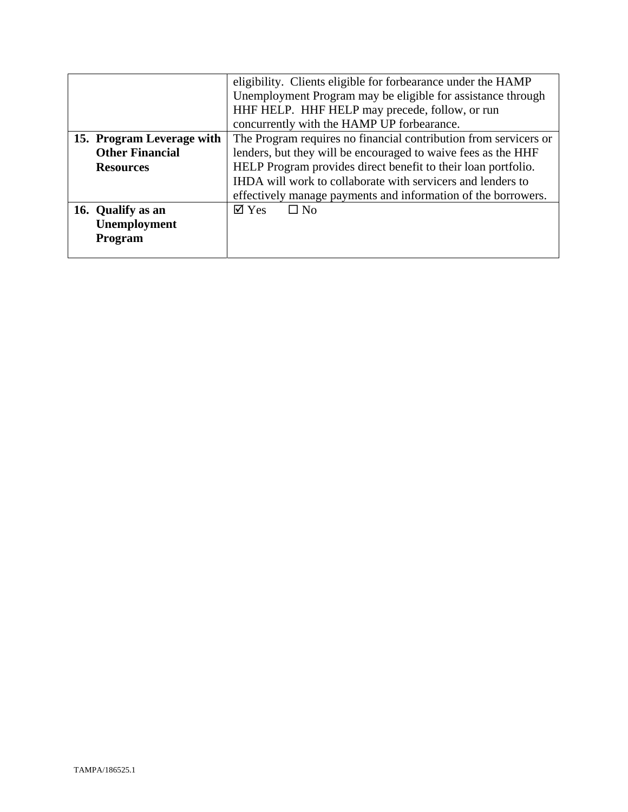|                           | eligibility. Clients eligible for forbearance under the HAMP     |
|---------------------------|------------------------------------------------------------------|
|                           | Unemployment Program may be eligible for assistance through      |
|                           | HHF HELP. HHF HELP may precede, follow, or run                   |
|                           | concurrently with the HAMP UP forbearance.                       |
| 15. Program Leverage with | The Program requires no financial contribution from servicers or |
| <b>Other Financial</b>    | lenders, but they will be encouraged to waive fees as the HHF    |
| <b>Resources</b>          | HELP Program provides direct benefit to their loan portfolio.    |
|                           | IHDA will work to collaborate with servicers and lenders to      |
|                           | effectively manage payments and information of the borrowers.    |
| 16. Qualify as an         | $\boxtimes$ Yes<br>$\Box$ No                                     |
| Unemployment              |                                                                  |
| Program                   |                                                                  |
|                           |                                                                  |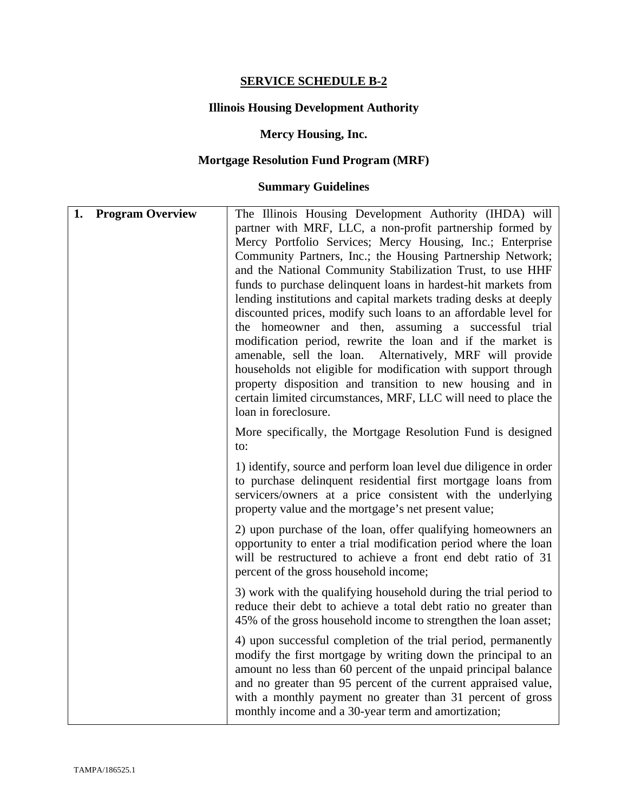## **SERVICE SCHEDULE B-2**

## **Illinois Housing Development Authority**

## **Mercy Housing, Inc.**

# **Mortgage Resolution Fund Program (MRF)**

## **Summary Guidelines**

| 1. | <b>Program Overview</b> | The Illinois Housing Development Authority (IHDA) will<br>partner with MRF, LLC, a non-profit partnership formed by<br>Mercy Portfolio Services; Mercy Housing, Inc.; Enterprise<br>Community Partners, Inc.; the Housing Partnership Network;<br>and the National Community Stabilization Trust, to use HHF<br>funds to purchase delinquent loans in hardest-hit markets from<br>lending institutions and capital markets trading desks at deeply<br>discounted prices, modify such loans to an affordable level for<br>the homeowner and then, assuming a successful trial<br>modification period, rewrite the loan and if the market is<br>amenable, sell the loan. Alternatively, MRF will provide<br>households not eligible for modification with support through<br>property disposition and transition to new housing and in<br>certain limited circumstances, MRF, LLC will need to place the<br>loan in foreclosure. |
|----|-------------------------|--------------------------------------------------------------------------------------------------------------------------------------------------------------------------------------------------------------------------------------------------------------------------------------------------------------------------------------------------------------------------------------------------------------------------------------------------------------------------------------------------------------------------------------------------------------------------------------------------------------------------------------------------------------------------------------------------------------------------------------------------------------------------------------------------------------------------------------------------------------------------------------------------------------------------------|
|    |                         | More specifically, the Mortgage Resolution Fund is designed<br>to:                                                                                                                                                                                                                                                                                                                                                                                                                                                                                                                                                                                                                                                                                                                                                                                                                                                             |
|    |                         | 1) identify, source and perform loan level due diligence in order<br>to purchase delinquent residential first mortgage loans from<br>servicers/owners at a price consistent with the underlying<br>property value and the mortgage's net present value;                                                                                                                                                                                                                                                                                                                                                                                                                                                                                                                                                                                                                                                                        |
|    |                         | 2) upon purchase of the loan, offer qualifying homeowners an<br>opportunity to enter a trial modification period where the loan<br>will be restructured to achieve a front end debt ratio of 31<br>percent of the gross household income;                                                                                                                                                                                                                                                                                                                                                                                                                                                                                                                                                                                                                                                                                      |
|    |                         | 3) work with the qualifying household during the trial period to<br>reduce their debt to achieve a total debt ratio no greater than<br>45% of the gross household income to strengthen the loan asset;                                                                                                                                                                                                                                                                                                                                                                                                                                                                                                                                                                                                                                                                                                                         |
|    |                         | 4) upon successful completion of the trial period, permanently<br>modify the first mortgage by writing down the principal to an<br>amount no less than 60 percent of the unpaid principal balance<br>and no greater than 95 percent of the current appraised value,<br>with a monthly payment no greater than 31 percent of gross<br>monthly income and a 30-year term and amortization;                                                                                                                                                                                                                                                                                                                                                                                                                                                                                                                                       |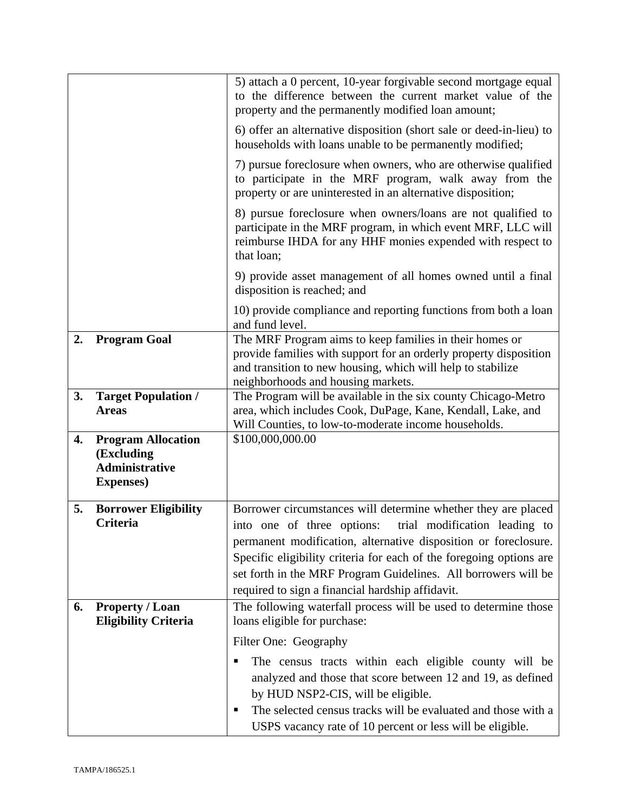|    |                                                                                       | 5) attach a 0 percent, 10-year forgivable second mortgage equal<br>to the difference between the current market value of the<br>property and the permanently modified loan amount;                                                                                                                                                                                                           |
|----|---------------------------------------------------------------------------------------|----------------------------------------------------------------------------------------------------------------------------------------------------------------------------------------------------------------------------------------------------------------------------------------------------------------------------------------------------------------------------------------------|
|    |                                                                                       | 6) offer an alternative disposition (short sale or deed-in-lieu) to<br>households with loans unable to be permanently modified;                                                                                                                                                                                                                                                              |
|    |                                                                                       | 7) pursue foreclosure when owners, who are otherwise qualified<br>to participate in the MRF program, walk away from the<br>property or are uninterested in an alternative disposition;                                                                                                                                                                                                       |
|    |                                                                                       | 8) pursue foreclosure when owners/loans are not qualified to<br>participate in the MRF program, in which event MRF, LLC will<br>reimburse IHDA for any HHF monies expended with respect to<br>that loan;                                                                                                                                                                                     |
|    |                                                                                       | 9) provide asset management of all homes owned until a final<br>disposition is reached; and                                                                                                                                                                                                                                                                                                  |
|    |                                                                                       | 10) provide compliance and reporting functions from both a loan<br>and fund level.                                                                                                                                                                                                                                                                                                           |
| 2. | <b>Program Goal</b>                                                                   | The MRF Program aims to keep families in their homes or<br>provide families with support for an orderly property disposition<br>and transition to new housing, which will help to stabilize<br>neighborhoods and housing markets.                                                                                                                                                            |
| 3. | <b>Target Population /</b><br><b>Areas</b>                                            | The Program will be available in the six county Chicago-Metro<br>area, which includes Cook, DuPage, Kane, Kendall, Lake, and<br>Will Counties, to low-to-moderate income households.                                                                                                                                                                                                         |
| 4. | <b>Program Allocation</b><br>(Excluding<br><b>Administrative</b><br><b>Expenses</b> ) | \$100,000,000.00                                                                                                                                                                                                                                                                                                                                                                             |
| 5. | <b>Borrower Eligibility</b><br><b>Criteria</b>                                        | Borrower circumstances will determine whether they are placed<br>into one of three options:<br>trial modification leading to<br>permanent modification, alternative disposition or foreclosure.<br>Specific eligibility criteria for each of the foregoing options are<br>set forth in the MRF Program Guidelines. All borrowers will be<br>required to sign a financial hardship affidavit. |
| 6. | <b>Property / Loan</b><br><b>Eligibility Criteria</b>                                 | The following waterfall process will be used to determine those<br>loans eligible for purchase:                                                                                                                                                                                                                                                                                              |
|    |                                                                                       | Filter One: Geography                                                                                                                                                                                                                                                                                                                                                                        |
|    |                                                                                       | The census tracts within each eligible county will be<br>analyzed and those that score between 12 and 19, as defined<br>by HUD NSP2-CIS, will be eligible.<br>The selected census tracks will be evaluated and those with a<br>п                                                                                                                                                             |
|    |                                                                                       | USPS vacancy rate of 10 percent or less will be eligible.                                                                                                                                                                                                                                                                                                                                    |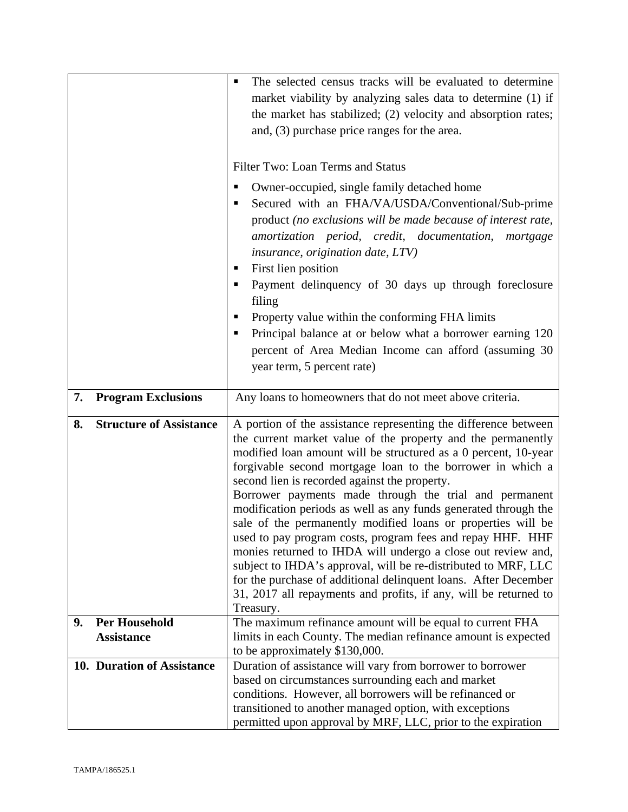|    |                                | The selected census tracks will be evaluated to determine<br>٠<br>market viability by analyzing sales data to determine (1) if<br>the market has stabilized; (2) velocity and absorption rates;<br>and, (3) purchase price ranges for the area.<br>Filter Two: Loan Terms and Status<br>Owner-occupied, single family detached home<br>п<br>Secured with an FHA/VA/USDA/Conventional/Sub-prime<br>product (no exclusions will be made because of interest rate,<br>amortization period, credit, documentation, mortgage<br><i>insurance, origination date, LTV)</i><br>First lien position<br>п<br>Payment delinquency of 30 days up through foreclosure<br>٠<br>filing<br>Property value within the conforming FHA limits<br>Principal balance at or below what a borrower earning 120<br>٠<br>percent of Area Median Income can afford (assuming 30)<br>year term, 5 percent rate) |
|----|--------------------------------|--------------------------------------------------------------------------------------------------------------------------------------------------------------------------------------------------------------------------------------------------------------------------------------------------------------------------------------------------------------------------------------------------------------------------------------------------------------------------------------------------------------------------------------------------------------------------------------------------------------------------------------------------------------------------------------------------------------------------------------------------------------------------------------------------------------------------------------------------------------------------------------|
| 7. | <b>Program Exclusions</b>      | Any loans to homeowners that do not meet above criteria.                                                                                                                                                                                                                                                                                                                                                                                                                                                                                                                                                                                                                                                                                                                                                                                                                             |
| 8. | <b>Structure of Assistance</b> | A portion of the assistance representing the difference between<br>the current market value of the property and the permanently<br>modified loan amount will be structured as a 0 percent, 10-year<br>forgivable second mortgage loan to the borrower in which a<br>second lien is recorded against the property.<br>Borrower payments made through the trial and permanent<br>modification periods as well as any funds generated through the<br>sale of the permanently modified loans or properties will be<br>used to pay program costs, program fees and repay HHF. HHF<br>monies returned to IHDA will undergo a close out review and,<br>subject to IHDA's approval, will be re-distributed to MRF, LLC<br>for the purchase of additional delinquent loans. After December<br>31, 2017 all repayments and profits, if any, will be returned to<br>Treasury.                   |
| 9. | <b>Per Household</b>           | The maximum refinance amount will be equal to current FHA                                                                                                                                                                                                                                                                                                                                                                                                                                                                                                                                                                                                                                                                                                                                                                                                                            |
|    | <b>Assistance</b>              | limits in each County. The median refinance amount is expected<br>to be approximately \$130,000.                                                                                                                                                                                                                                                                                                                                                                                                                                                                                                                                                                                                                                                                                                                                                                                     |
|    | 10. Duration of Assistance     | Duration of assistance will vary from borrower to borrower<br>based on circumstances surrounding each and market<br>conditions. However, all borrowers will be refinanced or<br>transitioned to another managed option, with exceptions<br>permitted upon approval by MRF, LLC, prior to the expiration                                                                                                                                                                                                                                                                                                                                                                                                                                                                                                                                                                              |